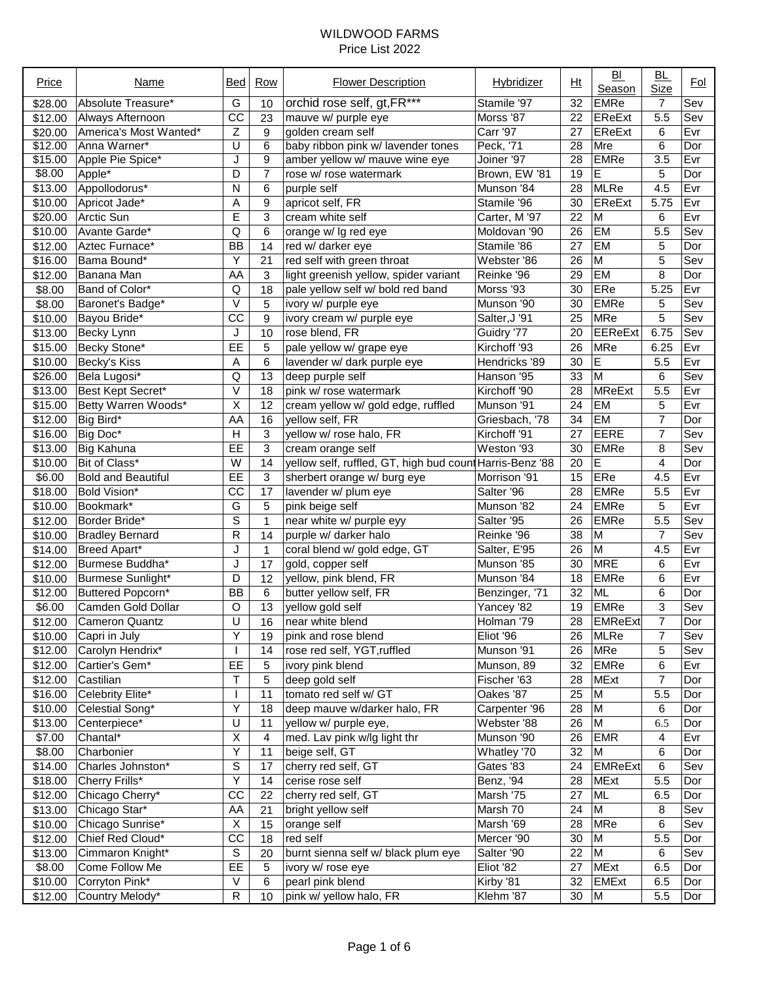| Price   | Name                      | Bed             | <b>Row</b>     | <b>Flower Description</b>                                | Hybridizer      | Ht              | BI<br>Season   | BL<br><b>Size</b> | <b>Fol</b> |
|---------|---------------------------|-----------------|----------------|----------------------------------------------------------|-----------------|-----------------|----------------|-------------------|------------|
| \$28.00 | Absolute Treasure*        | G               | 10             | orchid rose self, gt, FR***                              | Stamile '97     | 32              | <b>EMRe</b>    | 7                 | Sev        |
| \$12.00 | Always Afternoon          | CC              | 23             | mauve w/ purple eye                                      | Morss '87       | 22              | <b>EReExt</b>  | 5.5               | Sev        |
| \$20.00 | America's Most Wanted*    | Z               | 9              | golden cream self                                        | <b>Carr '97</b> | 27              | EReExt         | 6                 | Evr        |
| \$12.00 | Anna Warner*              | U               | 6              | baby ribbon pink w/ lavender tones                       | Peck, '71       | $\overline{28}$ | Mre            | 6                 | Dor        |
| \$15.00 | Apple Pie Spice*          | J               | 9              | amber yellow w/ mauve wine eye                           | Joiner '97      | 28              | <b>EMRe</b>    | $\overline{3.5}$  | Evr        |
| \$8.00  | Apple <sup>*</sup>        | D               | $\overline{7}$ | rose w/ rose watermark                                   | Brown, EW '81   | 19              | E              | 5                 | Dor        |
| \$13.00 | Appollodorus*             | Ν               | 6              | purple self                                              | Munson '84      | 28              | <b>MLRe</b>    | 4.5               | Evr        |
| \$10.00 | Apricot Jade*             | Α               | 9              | apricot self, FR                                         | Stamile '96     | 30              | <b>EReExt</b>  | 5.75              | Evr        |
| \$20.00 | Arctic Sun                | E               | 3              | cream white self                                         | Carter, M '97   | 22              | M              | 6                 | Evr        |
| \$10.00 | Avante Garde*             | Q               | 6              | orange w/ lg red eye                                     | Moldovan '90    | 26              | EM             | 5.5               | Sev        |
| \$12.00 | Aztec Furnace*            | <b>BB</b>       | 14             | red w/ darker eye                                        | Stamile '86     | 27              | <b>EM</b>      | 5                 | Dor        |
| \$16.00 | Bama Bound*               | Υ               | 21             | red self with green throat                               | Webster '86     | 26              | M              | 5                 | Sev        |
| \$12.00 | Banana Man                | AA              | 3              | light greenish yellow, spider variant                    | Reinke '96      | 29              | <b>EM</b>      | 8                 | Dor        |
| \$8.00  | Band of Color*            | Q               | 18             | pale yellow self w/ bold red band                        | Morss '93       | 30              | ERe            | 5.25              | Evr        |
| \$8.00  | Baronet's Badge*          | V               | 5              | ivory w/ purple eye                                      | Munson '90      | 30              | <b>EMRe</b>    | 5                 | Sev        |
| \$10.00 | Bayou Bride*              | CC              | 9              | ivory cream w/ purple eye                                | Salter, J'91    | 25              | MRe            | 5                 | Sev        |
| \$13.00 | Becky Lynn                | J               | 10             | rose blend, FR                                           | Guidry '77      | 20              | <b>EEReExt</b> | 6.75              | Sev        |
| \$15.00 | Becky Stone*              | EE              | 5              | pale yellow w/ grape eye                                 | Kirchoff '93    | 26              | MRe            | 6.25              | Evr        |
| \$10.00 | Becky's Kiss              | Α               | 6              | lavender w/ dark purple eye                              | Hendricks '89   | 30              | E              | 5.5               | Evr        |
| \$26.00 | Bela Lugosi*              | Q               | 13             | deep purple self                                         | Hanson '95      | 33              | M              | 6                 | Sev        |
| \$13.00 | Best Kept Secret*         | V               | 18             | pink w/ rose watermark                                   | Kirchoff '90    | 28              | MReExt         | 5.5               | Evr        |
| \$15.00 | Betty Warren Woods*       | Χ               | 12             | cream yellow w/ gold edge, ruffled                       | Munson '91      | 24              | EM             | 5                 | Evr        |
| \$12.00 | Big Bird*                 | AA              | 16             | yellow self, FR                                          | Griesbach, '78  | 34              | EM             | 7                 | Dor        |
| \$16.00 | Big Doc*                  | H               | 3              | yellow w/ rose halo, FR                                  | Kirchoff '91    | 27              | <b>EERE</b>    | 7                 | Sev        |
| \$13.00 | <b>Big Kahuna</b>         | EE              | 3              | cream orange self                                        | Weston '93      | 30              | <b>EMRe</b>    | 8                 | Sev        |
| \$10.00 | Bit of Class*             | W               | 14             | yellow self, ruffled, GT, high bud count Harris-Benz '88 |                 | 20              | E              | 4                 | Dor        |
| \$6.00  | <b>Bold and Beautiful</b> | EE              | 3              | sherbert orange w/ burg eye                              | Morrison '91    | 15              | ERe            | 4.5               | Evr        |
|         |                           | $\overline{cc}$ |                |                                                          | Salter '96      |                 | <b>EMRe</b>    |                   | Evr        |
| \$18.00 | Bold Vision*              | $\overline{G}$  | 17             | lavender w/ plum eye                                     |                 | 28              |                | 5.5               |            |
| \$10.00 | Bookmark*                 |                 | 5              | pink beige self                                          | Munson '82      | 24              | <b>EMRe</b>    | 5                 | Evr        |
| \$12.00 | Border Bride*             | S               | $\mathbf{1}$   | near white w/ purple eyy                                 | Salter '95      | 26              | <b>EMRe</b>    | 5.5               | Sev        |
| \$10.00 | <b>Bradley Bernard</b>    | $\mathsf{R}$    | 14             | purple w/ darker halo                                    | Reinke '96      | 38              | M              | $\overline{7}$    | Sev        |
| \$14.00 | Breed Apart*              | J               | $\mathbf 1$    | coral blend w/ gold edge, GT                             | Salter, E'95    | 26              | M              | 4.5               | Evr        |
| \$12.00 | Burmese Buddha*           | J               | 17             | gold, copper self                                        | Munson '85      | 30              | <b>MRE</b>     | 6                 | Evr        |
| \$10.00 | Burmese Sunlight*         | D               | 12             | yellow, pink blend, FR                                   | Munson '84      | 18              | <b>EMRe</b>    | 6                 | Evr        |
| \$12.00 | Buttered Popcorn*         | <b>BB</b>       | 6              | butter yellow self, FR                                   | Benzinger, '71  | 32              | <b>ML</b>      | 6                 | Dor        |
| \$6.00  | Camden Gold Dollar        | $\overline{O}$  | 13             | yellow gold self                                         | Yancey '82      | 19              | EMRe           | 3                 | Sev        |
| \$12.00 | Cameron Quantz            | $\overline{U}$  | 16             | near white blend                                         | Holman '79      | 28              | <b>EMReExt</b> | 7                 | Dor        |
| \$10.00 | Capri in July             | Υ               | 19             | pink and rose blend                                      | Eliot '96       | 26              | <b>MLRe</b>    | 7                 | Sev        |
| \$12.00 | Carolyn Hendrix*          |                 | 14             | rose red self, YGT, ruffled                              | Munson '91      | 26              | MRe            | 5                 | Sev        |
| \$12.00 | Cartier's Gem*            | EE              | 5              | ivory pink blend                                         | Munson, 89      | 32              | EMRe           | 6                 | Evr        |
| \$12.00 | Castilian                 | т               | 5              | deep gold self                                           | Fischer '63     | 28              | <b>MExt</b>    | 7                 | Dor        |
| \$16.00 | Celebrity Elite*          |                 | 11             | tomato red self w/ GT                                    | Oakes '87       | 25              | M              | 5.5               | Dor        |
| \$10.00 | Celestial Song*           | Υ               | 18             | deep mauve w/darker halo, FR                             | Carpenter '96   | 28              | M              | 6                 | Dor        |
| \$13.00 | Centerpiece*              | U               | 11             | yellow w/ purple eye,                                    | Webster '88     | 26              | M              | 6.5               | Dor        |
| \$7.00  | Chantal*                  | X               | 4              | med. Lav pink w/lg light thr                             | Munson '90      | 26              | <b>EMR</b>     | 4                 | Evr        |
| \$8.00  | Charbonier                | Υ               | 11             | beige self, GT                                           | Whatley '70     | 32              | M              | 6                 | Dor        |
| \$14.00 | Charles Johnston*         | S               | 17             | cherry red self, GT                                      | Gates '83       | 24              | <b>EMReExt</b> | 6                 | Sev        |
| \$18.00 | Cherry Frills*            | Y               | 14             | cerise rose self                                         | Benz, '94       | 28              | <b>MExt</b>    | 5.5               | Dor        |
| \$12.00 | Chicago Cherry*           | CC              | 22             | cherry red self, GT                                      | Marsh '75       | 27              | <b>ML</b>      | 6.5               | Dor        |
| \$13.00 | Chicago Star*             | AA              | 21             | bright yellow self                                       | Marsh 70        | 24              | M              | 8                 | Sev        |
| \$10.00 | Chicago Sunrise*          | Χ               | 15             | orange self                                              | Marsh '69       | 28              | MRe            | 6                 | Sev        |
| \$12.00 | Chief Red Cloud*          | CC              | 18             | red self                                                 | Mercer '90      | 30              | M              | 5.5               | Dor        |
| \$13.00 | Cimmaron Knight*          | S               | 20             | burnt sienna self w/ black plum eye                      | Salter '90      | 22              | M              | 6                 | Sev        |
| \$8.00  | Come Follow Me            | EE              | 5              | ivory w/ rose eye                                        | Eliot '82       | 27              | <b>MExt</b>    | 6.5               | Dor        |
| \$10.00 | Corryton Pink*            | V               | 6              | pearl pink blend                                         | Kirby '81       | 32              | <b>EMExt</b>   | 6.5               | Dor        |
| \$12.00 | Country Melody*           | R               | 10             | pink w/ yellow halo, FR                                  | Klehm '87       | 30              | M              | 5.5               | Dor        |
|         |                           |                 |                |                                                          |                 |                 |                |                   |            |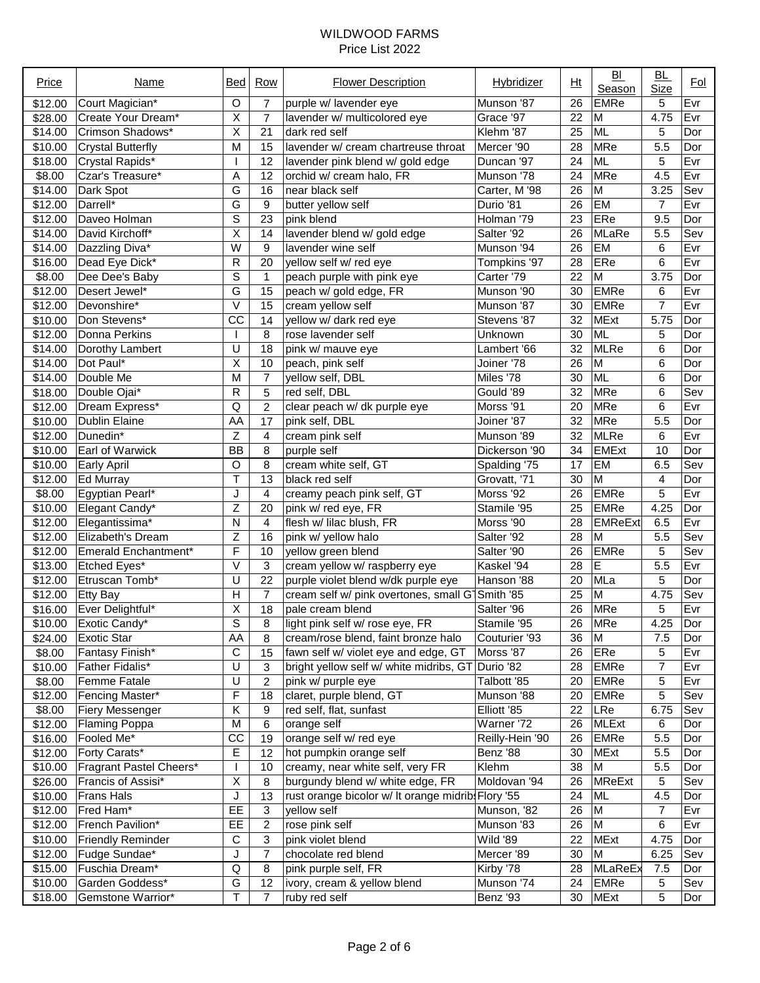| Price   | Name                     | Bed                     | Row            | <b>Flower Description</b>                                    | Hybridizer      | Ht              | B <sub>L</sub><br>Season | <u>BL</u><br>Size | <u>Fol</u> |
|---------|--------------------------|-------------------------|----------------|--------------------------------------------------------------|-----------------|-----------------|--------------------------|-------------------|------------|
| \$12.00 | Court Magician*          | O                       | $\overline{7}$ | purple w/ lavender eye                                       | Munson '87      | 26              | <b>EMRe</b>              | 5                 | Evr        |
| \$28.00 | Create Your Dream*       | X                       | $\overline{7}$ | lavender w/ multicolored eye                                 | Grace '97       | 22              | M                        | 4.75              | Evr        |
| \$14.00 | Crimson Shadows*         | Χ                       | 21             | dark red self                                                | Klehm '87       | 25              | <b>ML</b>                | 5                 | Dor        |
| \$10.00 | <b>Crystal Butterfly</b> | M                       | 15             | lavender w/ cream chartreuse throat                          | Mercer '90      | 28              | <b>MRe</b>               | 5.5               | Dor        |
| \$18.00 | Crystal Rapids*          |                         | 12             | lavender pink blend w/ gold edge                             | Duncan '97      | 24              | <b>ML</b>                | 5                 | Evr        |
| \$8.00  | Czar's Treasure*         | Α                       | 12             | orchid w/ cream halo, FR                                     | Munson '78      | 24              | <b>MRe</b>               | 4.5               | Evr        |
| \$14.00 | Dark Spot                | G                       | 16             | near black self                                              | Carter, M '98   | 26              | M                        | 3.25              | Sev        |
| \$12.00 | Darrell*                 | G                       | 9              | butter yellow self                                           | Durio '81       | 26              | EM                       | 7                 | Evr        |
| \$12.00 | Daveo Holman             | S                       | 23             | pink blend                                                   | Holman '79      | 23              | ERe                      | 9.5               | Dor        |
| \$14.00 | David Kirchoff*          | $\overline{\mathsf{x}}$ | 14             | lavender blend w/ gold edge                                  | Salter '92      | 26              | MLaRe                    | 5.5               | Sev        |
| \$14.00 | Dazzling Diva*           | $\overline{W}$          | 9              | lavender wine self                                           | Munson '94      | 26              | <b>EM</b>                | 6                 | Evr        |
| \$16.00 | Dead Eye Dick*           | R                       | 20             | yellow self w/ red eye                                       | Tompkins '97    | 28              | ERe                      | 6                 | Evr        |
| \$8.00  | Dee Dee's Baby           | S                       | 1              | peach purple with pink eye                                   | Carter '79      | 22              | $\overline{M}$           | 3.75              | Dor        |
| \$12.00 | Desert Jewel*            | G                       | 15             | peach w/ gold edge, FR                                       | Munson '90      | 30              | <b>EMRe</b>              | 6                 | Evr        |
| \$12.00 | Devonshire*              | V                       | 15             | cream yellow self                                            | Munson '87      | 30              | <b>EMRe</b>              | $\overline{7}$    | Evr        |
| \$10.00 | Don Stevens*             | $\overline{cc}$         | 14             | yellow w/ dark red eye                                       | Stevens '87     | 32              | <b>MExt</b>              | 5.75              | Dor        |
| \$12.00 | Donna Perkins            |                         | 8              | rose lavender self                                           | Unknown         | 30              | <b>ML</b>                | 5                 | Dor        |
| \$14.00 | Dorothy Lambert          | U                       | 18             | pink w/ mauve eye                                            | Lambert '66     | 32              | <b>MLRe</b>              | 6                 | Dor        |
| \$14.00 | Dot Paul*                | Χ                       | 10             | peach, pink self                                             | Joiner '78      | 26              | M                        | 6                 | Dor        |
| \$14.00 | Double Me                | M                       | $\overline{7}$ | yellow self, DBL                                             | Miles '78       | 30              | <b>ML</b>                | 6                 | Dor        |
| \$18.00 | Double Ojai*             | R                       | 5              | red self, DBL                                                | Gould '89       | 32              | <b>MRe</b>               | 6                 | Sev        |
| \$12.00 | Dream Express*           | Q                       | $\overline{c}$ | clear peach w/ dk purple eye                                 | Morss '91       | 20              | <b>MRe</b>               | 6                 | Evr        |
| \$10.00 | <b>Dublin Elaine</b>     | AA                      | 17             | pink self, DBL                                               | Joiner '87      | 32              | <b>MRe</b>               | 5.5               | Dor        |
| \$12.00 | Dunedin*                 | Z                       | 4              | cream pink self                                              | Munson '89      | 32              | <b>MLRe</b>              | 6                 | Evr        |
| \$10.00 | <b>Earl of Warwick</b>   | <b>BB</b>               | 8              | purple self                                                  | Dickerson '90   | 34              | <b>EMExt</b>             | 10                | Dor        |
| \$10.00 | Early April              | O                       | 8              | cream white self, GT                                         | Spalding '75    | 17              | <b>EM</b>                | 6.5               | Sev        |
| \$12.00 | Ed Murray                | T                       | 13             | black red self                                               | Grovatt, '71    | 30              | M                        | 4                 | Dor        |
| \$8.00  | Egyptian Pearl*          | J                       | 4              | creamy peach pink self, GT                                   | Morss '92       | 26              | <b>EMRe</b>              | 5                 | Evr        |
| \$10.00 | Elegant Candy*           | Z                       | 20             | pink w/ red eye, FR                                          | Stamile '95     | 25              | <b>EMRe</b>              | 4.25              | Dor        |
| \$12.00 | Elegantissima*           | N                       | $\overline{4}$ | flesh w/ lilac blush, FR                                     | Morss '90       | 28              | <b>EMReExt</b>           | 6.5               | Evr        |
| \$12.00 | Elizabeth's Dream        | Z                       | 16             | pink w/ yellow halo                                          | Salter '92      | 28              | M                        | 5.5               | Sev        |
| \$12.00 | Emerald Enchantment*     | F                       | 10             | yellow green blend                                           | Salter '90      | 26              | <b>EMRe</b>              | 5                 | Sev        |
| \$13.00 | Etched Eyes*             | V                       | 3              | cream yellow w/ raspberry eye                                | Kaskel '94      | 28              | E                        | 5.5               | Evr        |
| \$12.00 | Etruscan Tomb*           | U                       | 22             | purple violet blend w/dk purple eye                          | Hanson '88      | 20              | MLa                      | 5                 | Dor        |
| \$12.00 | Etty Bay                 | H                       | $\overline{7}$ | cream self w/ pink overtones, small G <sup>-</sup> Smith '85 |                 | 25              | M                        | 4.75              | Sev        |
| \$16.00 | Ever Delightful*         | Χ                       | 18             | pale cream blend                                             | Salter '96      | 26              | <b>MRe</b>               | 5                 | Evr        |
| \$10.00 | Exotic Candy*            | S                       | $\overline{8}$ | light pink self w/ rose eye, FR                              | Stamile '95     | $\overline{26}$ | <b>MRe</b>               | 4.25              | Dor        |
| \$24.00 | Exotic Star              | AA                      | 8              | cream/rose blend, faint bronze halo                          | Couturier '93   | 36              | M                        | 7.5               | Dor        |
| \$8.00  | Fantasy Finish*          | С                       | 15             | fawn self w/ violet eye and edge, GT                         | Morss '87       | 26              | ERe                      | 5                 | Evr        |
| \$10.00 | Father Fidalis*          | U                       | 3              | bright yellow self w/ white midribs, GT                      | Durio '82       | 28              | EMRe                     | 7                 | Evr        |
| \$8.00  | <b>Femme Fatale</b>      | U                       | 2              | pink w/ purple eye                                           | Talbott '85     | 20              | EMRe                     | 5                 | Evr        |
| \$12.00 | Fencing Master*          | F                       | 18             | claret, purple blend, GT                                     | Munson '88      | 20              | <b>EMRe</b>              | 5                 | Sev        |
| \$8.00  | <b>Fiery Messenger</b>   | Κ                       | 9              | red self, flat, sunfast                                      | Elliott '85     | 22              | LRe                      | 6.75              | Sev        |
| \$12.00 | <b>Flaming Poppa</b>     | M                       | 6              | orange self                                                  | Warner '72      | 26              | <b>MLExt</b>             | 6                 | Dor        |
| \$16.00 | Fooled Me*               | CC                      | 19             | orange self w/ red eye                                       | Reilly-Hein '90 | 26              | <b>EMRe</b>              | 5.5               | Dor        |
| \$12.00 | Forty Carats*            | E                       | 12             | hot pumpkin orange self                                      | Benz '88        | 30              | <b>MExt</b>              | 5.5               | Dor        |
| \$10.00 | Fragrant Pastel Cheers*  |                         | 10             | creamy, near white self, very FR                             | Klehm           | 38              | M                        | 5.5               | Dor        |
| \$26.00 | Francis of Assisi*       | $\overline{\mathsf{X}}$ | 8              | burgundy blend w/ white edge, FR                             | Moldovan '94    | 26              | <b>MReExt</b>            | 5                 | Sev        |
| \$10.00 | Frans Hals               | J                       | 13             | rust orange bicolor w/ It orange midrib Flory '55            |                 | 24              | ML.                      | 4.5               | Dor        |
| \$12.00 | Fred Ham*                | EE                      | 3              | yellow self                                                  | Munson, '82     | 26              | M                        | 7                 | Evr        |
| \$12.00 | French Pavilion*         | EE                      | $\overline{c}$ | rose pink self                                               | Munson '83      | 26              | M                        | 6                 | Evr        |
| \$10.00 | <b>Friendly Reminder</b> | C                       | 3              | pink violet blend                                            | Wild '89        | 22              | <b>MExt</b>              | 4.75              | Dor        |
| \$12.00 | Fudge Sundae*            | J                       | $\overline{7}$ | chocolate red blend                                          | Mercer '89      | 30              | M                        | 6.25              | Sev        |
| \$15.00 | Fuschia Dream*           | Q                       | 8              | pink purple self, FR                                         | Kirby '78       | 28              | MLaReEx                  | 7.5               | Dor        |
| \$10.00 | Garden Goddess*          | G                       | 12             | ivory, cream & yellow blend                                  | Munson '74      | 24              | EMRe                     | 5                 | Sev        |
| \$18.00 | Gemstone Warrior*        | т                       | $\overline{7}$ | ruby red self                                                | Benz '93        | 30              | <b>MExt</b>              | 5                 | Dor        |
|         |                          |                         |                |                                                              |                 |                 |                          |                   |            |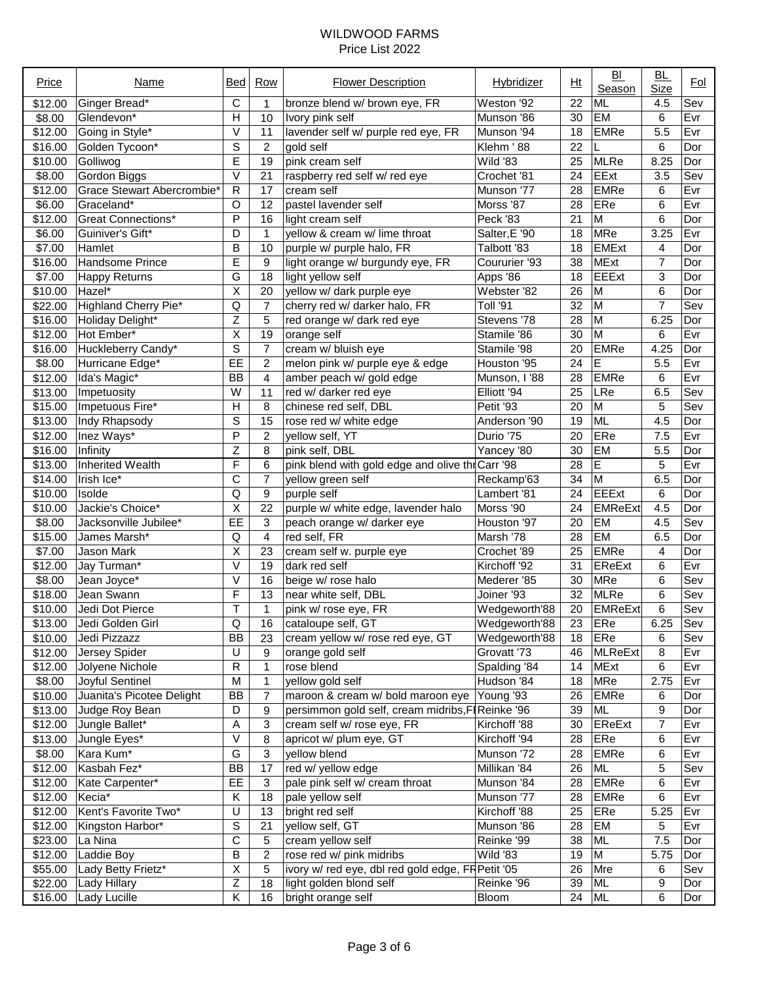| Price   | Name                       | Bed                     | Row            | <b>Flower Description</b>                         | Hybridizer      | Ht              | B <sub>1</sub><br>Season | <u>BL</u><br>Size | <u>Fol</u> |
|---------|----------------------------|-------------------------|----------------|---------------------------------------------------|-----------------|-----------------|--------------------------|-------------------|------------|
| \$12.00 | Ginger Bread*              | C                       | 1              | bronze blend w/ brown eye, FR                     | Weston '92      | 22              | <b>ML</b>                | 4.5               | Sev        |
| \$8.00  | Glendevon*                 | H                       | 10             | Ivory pink self                                   | Munson '86      | 30              | EM                       | 6                 | Evr        |
| \$12.00 | Going in Style*            | V                       | 11             | lavender self w/ purple red eye, FR               | Munson '94      | 18              | <b>EMRe</b>              | 5.5               | Evr        |
| \$16.00 | Golden Tycoon*             | S                       | $\overline{c}$ | gold self                                         | Klehm '88       | 22              |                          | 6                 | Dor        |
| \$10.00 | Golliwog                   | E                       | 19             | pink cream self                                   | <b>Wild '83</b> | 25              | <b>MLRe</b>              | 8.25              | Dor        |
| \$8.00  | Gordon Biggs               | V                       | 21             | raspberry red self w/ red eye                     | Crochet '81     | 24              | EExt                     | 3.5               | Sev        |
| \$12.00 | Grace Stewart Abercrombie* | R                       | 17             | cream self                                        | Munson '77      | 28              | <b>EMRe</b>              | 6                 | Evr        |
| \$6.00  | Graceland*                 | O                       | 12             | pastel lavender self                              | Morss '87       | 28              | ERe                      | 6                 | Evr        |
| \$12.00 | <b>Great Connections*</b>  | P                       | 16             | light cream self                                  | Peck '83        | 21              | M                        | 6                 | Dor        |
| \$6.00  | Guiniver's Gift*           | D                       | 1              | yellow & cream w/ lime throat                     | Salter, E '90   | 18              | <b>MRe</b>               | 3.25              | Evr        |
| \$7.00  | Hamlet                     | B                       | 10             | purple w/ purple halo, FR                         | Talbott '83     | 18              | <b>EMExt</b>             | 4                 | Dor        |
| \$16.00 | Handsome Prince            | Ē                       | 9              | light orange w/ burgundy eye, FR                  | Coururier '93   | 38              | <b>MExt</b>              | 7                 | Dor        |
| \$7.00  | <b>Happy Returns</b>       | G                       | 18             | light yellow self                                 | Apps '86        | 18              | <b>EEExt</b>             | 3                 | Dor        |
| \$10.00 | Hazel*                     | $\overline{\mathsf{x}}$ | 20             | yellow w/ dark purple eye                         | Webster '82     | 26              | M                        | 6                 | Dor        |
| \$22.00 | Highland Cherry Pie*       | Q                       | 7              | cherry red w/ darker halo, FR                     | Toll '91        | 32              | M                        | 7                 | Sev        |
| \$16.00 | Holiday Delight*           | $\overline{Z}$          | 5              | red orange w/ dark red eye                        | Stevens '78     | 28              | M                        | 6.25              | Dor        |
| \$12.00 | Hot Ember*                 | $\overline{\mathsf{x}}$ | 19             | orange self                                       | Stamile '86     | 30              | $\overline{M}$           | 6                 | Evr        |
| \$16.00 | Huckleberry Candy*         | S                       | $\overline{7}$ | cream w/ bluish eye                               | Stamile '98     | 20              | <b>EMRe</b>              | 4.25              | Dor        |
| \$8.00  | Hurricane Edge*            | E                       | 2              | melon pink w/ purple eye & edge                   | Houston '95     | 24              | E                        | 5.5               | Evr        |
| \$12.00 | Ida's Magic*               | <b>BB</b>               | 4              | amber peach w/ gold edge                          | Munson, I '88   | 28              | <b>EMRe</b>              | 6                 | Evr        |
| \$13.00 | Impetuosity                | W                       | 11             | red w/ darker red eye                             | Elliott '94     | 25              | LRe                      | 6.5               | Sev        |
| \$15.00 | Impetuous Fire*            | H                       | 8              | chinese red self, DBL                             | Petit '93       | 20              | M                        | 5                 | Sev        |
| \$13.00 | Indy Rhapsody              | S                       | 15             | rose red w/ white edge                            | Anderson '90    | 19              | <b>ML</b>                | 4.5               | Dor        |
| \$12.00 | Inez Ways*                 | P                       | $\overline{2}$ | yellow self, YT                                   | Durio '75       | 20              | ERe                      | 7.5               | Evr        |
| \$16.00 | Infinity                   | Z                       | 8              | pink self, DBL                                    | Yancey '80      | 30              | EM                       | 5.5               | Dor        |
| \$13.00 | Inherited Wealth           | F                       | 6              | pink blend with gold edge and olive thi Carr '98  |                 | 28              | E                        | 5                 | Evr        |
| \$14.00 | Irish Ice*                 | С                       | 7              | yellow green self                                 | Reckamp'63      | 34              | M                        | 6.5               | Dor        |
| \$10.00 | Isolde                     | Q                       | 9              | purple self                                       | Lambert '81     | 24              | <b>EEExt</b>             | 6                 | Dor        |
| \$10.00 | Jackie's Choice*           | $\overline{\mathsf{X}}$ | 22             | purple w/ white edge, lavender halo               | Morss '90       | 24              | <b>EMReExt</b>           | 4.5               | Dor        |
| \$8.00  | Jacksonville Jubilee*      | EE                      | 3              | peach orange w/ darker eye                        | Houston '97     | 20              | EM                       | 4.5               | Sev        |
| \$15.00 | James Marsh*               | Q                       | 4              | red self, FR                                      | Marsh '78       | 28              | EM                       | 6.5               | Dor        |
| \$7.00  | Jason Mark                 | $\overline{\mathsf{x}}$ | 23             | cream self w. purple eye                          | Crochet '89     | 25              | <b>EMRe</b>              | 4                 | Dor        |
| \$12.00 | Jay Turman*                | V                       | 19             | dark red self                                     | Kirchoff '92    | 31              | EReExt                   | 6                 | Evr        |
| \$8.00  | Jean Joyce*                | V                       | 16             | beige w/ rose halo                                | Mederer '85     | 30              | MRe                      | 6                 | Sev        |
| \$18.00 | Jean Swann                 | F                       | 13             | near white self, DBL                              | Joiner '93      | 32              | <b>MLRe</b>              | 6                 | Sev        |
| \$10.00 | Jedi Dot Pierce            | T                       | 1              | pink w/ rose eye, FR                              | Wedgeworth'88   | 20              | <b>EMReExt</b>           | 6                 | Sev        |
|         | \$13.00 Jedi Golden Girl   | $\overline{\mathsf{Q}}$ | 16             | cataloupe self, GT                                | Wedgeworth'88   | $\overline{23}$ | ERe                      | 6.25              | Sev        |
| \$10.00 | Jedi Pizzazz               | <b>BB</b>               | 23             | cream yellow w/ rose red eye, GT                  | Wedgeworth'88   | 18              | ERe                      | 6                 | Sev        |
| \$12.00 | Jersey Spider              | U                       | 9              | orange gold self                                  | Grovatt '73     | 46              | <b>MLReExt</b>           | 8                 | Evr        |
| \$12.00 | Jolyene Nichole            | R                       | 1              | rose blend                                        | Spalding '84    | 14              | MExt                     | 6                 | Evr        |
| \$8.00  | Joyful Sentinel            | M                       | $\mathbf 1$    | yellow gold self                                  | Hudson '84      | 18              | <b>MRe</b>               | 2.75              | Evr        |
| \$10.00 | Juanita's Picotee Delight  | <b>BB</b>               | 7              | maroon & cream w/ bold maroon eye                 | Young '93       | 26              | <b>EMRe</b>              | 6                 | Dor        |
| \$13.00 | Judge Roy Bean             | D                       | 9              | persimmon gold self, cream midribs, F             | Reinke '96      | 39              | <b>ML</b>                | 9                 | Dor        |
| \$12.00 | Jungle Ballet*             | Α                       | 3              | cream self w/ rose eye, FR                        | Kirchoff '88    | 30              | EReExt                   | 7                 | Evr        |
| \$13.00 | Jungle Eyes*               | V                       | 8              | apricot w/ plum eye, GT                           | Kirchoff '94    | 28              | ERe                      | 6                 | Evr        |
| \$8.00  | Kara Kum*                  | G                       | 3              | yellow blend                                      | Munson '72      | 28              | <b>EMRe</b>              | 6                 | Evr        |
| \$12.00 | Kasbah Fez*                | <b>BB</b>               | 17             | red w/ yellow edge                                | Millikan '84    | 26              | <b>ML</b>                | 5                 | Sev        |
| \$12.00 | Kate Carpenter*            | EE                      | 3              | pale pink self w/ cream throat                    | Munson '84      | 28              | <b>EMRe</b>              | 6                 | Evr        |
| \$12.00 | Kecia*                     | Κ                       | 18             | pale yellow self                                  | Munson '77      | 28              | <b>EMRe</b>              | 6                 | Evr        |
| \$12.00 | Kent's Favorite Two*       | U                       | 13             | bright red self                                   | Kirchoff '88    | 25              | ERe                      | 5.25              | Evr        |
| \$12.00 | Kingston Harbor*           | $\overline{\mathbf{s}}$ | 21             | yellow self, GT                                   | Munson '86      | 28              | EM                       | 5                 | Evr        |
| \$23.00 | La Nina                    | $\overline{\mathrm{c}}$ | 5              | cream yellow self                                 | Reinke '99      | 38              | ML                       | 7.5               | Dor        |
| \$12.00 | Laddie Boy                 | В                       | $\overline{c}$ | rose red w/ pink midribs                          | Wild '83        | 19              | M                        | 5.75              | Dor        |
| \$55.00 | Lady Betty Frietz*         | $\overline{\mathsf{x}}$ | 5              | ivory w/ red eye, dbl red gold edge, FF Petit '05 |                 | 26              | Mre                      | 6                 | Sev        |
| \$22.00 | <b>Lady Hillary</b>        | $\overline{Z}$          | 18             | light golden blond self                           | Reinke '96      | 39              | <b>ML</b>                | 9                 | Dor        |
| \$16.00 | Lady Lucille               | Κ                       | 16             | bright orange self                                | Bloom           | 24              | ML                       | 6                 | Dor        |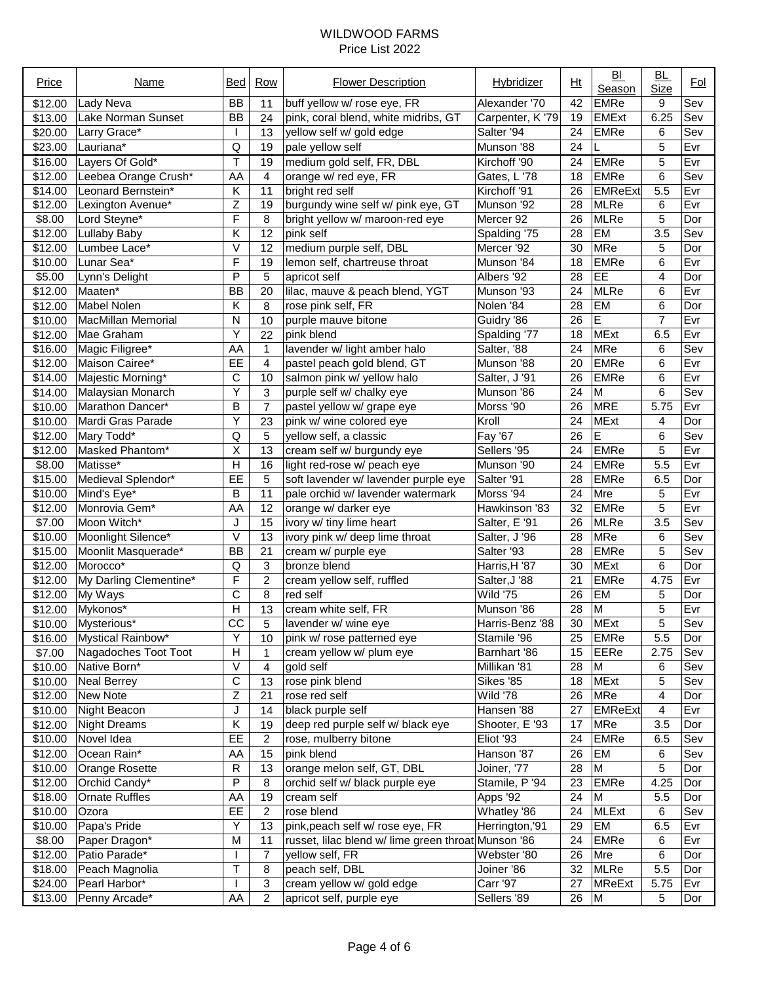| Price   | Name                   | Bed                   | Row            | <b>Flower Description</b>                           | Hybridizer       | Ht              | B <sub>1</sub><br>Season | <u>BL</u><br>Size | <u>Fol</u> |
|---------|------------------------|-----------------------|----------------|-----------------------------------------------------|------------------|-----------------|--------------------------|-------------------|------------|
| \$12.00 | Lady Neva              | <b>BB</b>             | 11             | buff yellow w/ rose eye, FR                         | Alexander '70    | 42              | <b>EMRe</b>              | 9                 | Sev        |
| \$13.00 | Lake Norman Sunset     | <b>BB</b>             | 24             | pink, coral blend, white midribs, GT                | Carpenter, K '79 | 19              | <b>EMExt</b>             | 6.25              | Sev        |
| \$20.00 | Larry Grace*           |                       | 13             | yellow self w/ gold edge                            | Salter '94       | 24              | <b>EMRe</b>              | 6                 | Sev        |
| \$23.00 | Lauriana*              | Q                     | 19             | pale yellow self                                    | Munson '88       | 24              |                          | 5                 | Evr        |
| \$16.00 | Layers Of Gold*        | T                     | 19             | medium gold self, FR, DBL                           | Kirchoff '90     | 24              | <b>EMRe</b>              | 5                 | Evr        |
| \$12.00 | Leebea Orange Crush*   | AA                    | 4              | orange w/ red eye, FR                               | Gates, L'78      | 18              | <b>EMRe</b>              | 6                 | Sev        |
| \$14.00 | Leonard Bernstein*     | Κ                     | 11             | bright red self                                     | Kirchoff '91     | 26              | <b>EMReExt</b>           | 5.5               | Evr        |
| \$12.00 | Lexington Avenue*      | Ζ                     | 19             | burgundy wine self w/ pink eye, GT                  | Munson '92       | 28              | <b>MLRe</b>              | 6                 | Evr        |
| \$8.00  | Lord Steyne*           | F                     | 8              | bright yellow w/ maroon-red eye                     | Mercer 92        | 26              | <b>MLRe</b>              | 5                 | Dor        |
| \$12.00 | <b>Lullaby Baby</b>    | Κ                     | 12             | pink self                                           | Spalding '75     | 28              | EM                       | 3.5               | Sev        |
| \$12.00 | Lumbee Lace*           | V                     | 12             | medium purple self, DBL                             | Mercer '92       | 30              | MRe                      | 5                 | Dor        |
| \$10.00 | Lunar Sea*             | F                     | 19             | lemon self, chartreuse throat                       | Munson '84       | 18              | <b>EMRe</b>              | 6                 | Evr        |
| \$5.00  | Lynn's Delight         | P                     | 5              | apricot self                                        | Albers '92       | 28              | EE                       | 4                 | Dor        |
| \$12.00 | Maaten*                | <b>BB</b>             | 20             | lilac, mauve & peach blend, YGT                     | Munson '93       | 24              | <b>MLRe</b>              | 6                 | Evr        |
| \$12.00 | Mabel Nolen            | Κ                     | 8              | rose pink self, FR                                  | Nolen '84        | 28              | EM                       | 6                 | Dor        |
| \$10.00 | MacMillan Memorial     | Ν                     | 10             | purple mauve bitone                                 | Guidry '86       | 26              | E                        | $\overline{7}$    | Evr        |
| \$12.00 | Mae Graham             | Y                     | 22             | pink blend                                          | Spalding '77     | 18              | <b>MExt</b>              | 6.5               | Evr        |
| \$16.00 | Magic Filigree*        | AA                    | $\mathbf{1}$   | lavender w/ light amber halo                        | Salter, '88      | 24              | <b>MRe</b>               | 6                 | Sev        |
| \$12.00 | Maison Cairee*         | EE                    | 4              | pastel peach gold blend, GT                         | Munson '88       | 20              | <b>EMRe</b>              | 6                 | Evr        |
| \$14.00 | Majestic Morning*      | C                     | 10             | salmon pink w/ yellow halo                          | Salter, J'91     | 26              | <b>EMRe</b>              | 6                 | Evr        |
| \$14.00 | Malaysian Monarch      | Υ                     | 3              | purple self w/ chalky eye                           | Munson '86       | 24              | M                        | 6                 | Sev        |
| \$10.00 | Marathon Dancer*       | B                     | $\overline{7}$ | pastel yellow w/ grape eye                          | Morss '90        | 26              | <b>MRE</b>               | 5.75              | Evr        |
| \$10.00 | Mardi Gras Parade      | Υ                     | 23             | pink w/ wine colored eye                            | Kroll            | 24              | <b>MExt</b>              | 4                 | Dor        |
| \$12.00 | Mary Todd*             | $\sf Q$               | 5              | yellow self, a classic                              | Fay '67          | 26              | E                        | 6                 | Sev        |
| \$12.00 | Masked Phantom*        | X                     | 13             | cream self w/ burgundy eye                          | Sellers '95      | 24              | <b>EMRe</b>              | 5                 | Evr        |
| \$8.00  | Matisse*               | H                     | 16             | light red-rose w/ peach eye                         | Munson '90       | 24              | <b>EMRe</b>              | 5.5               | Evr        |
| \$15.00 | Medieval Splendor*     | EE                    | 5              | soft lavender w/ lavender purple eye                | Salter '91       | 28              | <b>EMRe</b>              | 6.5               | Dor        |
| \$10.00 | Mind's Eye*            | В                     | 11             | pale orchid w/ lavender watermark                   | Morss '94        | 24              | Mre                      | 5                 | Evr        |
| \$12.00 | Monrovia Gem*          | AA                    | 12             | orange w/ darker eye                                | Hawkinson '83    | 32              | <b>EMRe</b>              | 5                 | Evr        |
| \$7.00  | Moon Witch*            | J                     | 15             | ivory w/ tiny lime heart                            | Salter, E '91    | 26              | <b>MLRe</b>              | 3.5               | Sev        |
| \$10.00 | Moonlight Silence*     | Λ                     | 13             | ivory pink w/ deep lime throat                      | Salter, J '96    | 28              | <b>MRe</b>               | 6                 | Sev        |
| \$15.00 | Moonlit Masquerade*    | <b>BB</b>             | 21             | cream w/ purple eye                                 | Salter '93       | 28              | <b>EMRe</b>              | 5                 | Sev        |
| \$12.00 | Morocco*               | Q                     | 3              | bronze blend                                        | Harris, H '87    | 30              | <b>MExt</b>              | 6                 | Dor        |
| \$12.00 | My Darling Clementine* | F                     | $\overline{c}$ | cream yellow self, ruffled                          | Salter, J '88    | 21              | <b>EMRe</b>              | 4.75              | Evr        |
| \$12.00 | My Ways                | $\overline{\text{c}}$ | 8              | red self                                            | Wild '75         | 26              | EM                       | 5                 | Dor        |
| \$12.00 | Mykonos*               | $\overline{H}$        | 13             | cream white self, FR                                | Munson '86       | 28              | $\overline{M}$           | 5                 | Evr        |
|         | \$10.00 Mysterious*    | $\overline{cc}$       | 5              | lavender w/ wine eye                                | Harris-Benz '88  | $\overline{30}$ | <b>MExt</b>              | 5                 | Sev        |
| \$16.00 | Mystical Rainbow*      | Υ                     | 10             | pink w/ rose patterned eye                          | Stamile '96      | 25              | <b>EMRe</b>              | 5.5               | Dor        |
| \$7.00  | Nagadoches Toot Toot   | Н                     | 1              | cream yellow w/ plum eye                            | Barnhart '86     | 15              | EERe                     | 2.75              | Sev        |
| \$10.00 | Native Born*           | Λ                     | 4              | gold self                                           | Millikan '81     | 28              | м                        | 6                 | Sev        |
| \$10.00 | Neal Berrey            | $\mathsf C$           | 13             | rose pink blend                                     | Sikes '85        | 18              | <b>MExt</b>              | 5                 | Sev        |
| \$12.00 | New Note               | $\mathsf Z$           | 21             | rose red self                                       | Wild '78         | 26              | <b>MRe</b>               | 4                 | Dor        |
| \$10.00 | Night Beacon           | J                     | 14             | black purple self                                   | Hansen '88       | 27              | <b>EMReExt</b>           | 4                 | Evr        |
| \$12.00 | <b>Night Dreams</b>    | Κ                     | 19             | deep red purple self w/ black eye                   | Shooter, E '93   | 17              | <b>MRe</b>               | 3.5               | Dor        |
| \$10.00 | Novel Idea             | EE                    | 2              | rose, mulberry bitone                               | Eliot '93        | 24              | <b>EMRe</b>              | 6.5               | Sev        |
| \$12.00 | Ocean Rain*            | AA                    | 15             | pink blend                                          | Hanson '87       | 26              | EM                       | 6                 | Sev        |
| \$10.00 | Orange Rosette         | R                     | 13             | orange melon self, GT, DBL                          | Joiner, '77      | 28              | M                        | 5                 | Dor        |
| \$12.00 | Orchid Candy*          | P                     | 8              | orchid self w/ black purple eye                     | Stamile, P '94   | 23              | <b>EMRe</b>              | 4.25              | Dor        |
| \$18.00 | <b>Ornate Ruffles</b>  | AA                    | 19             | cream self                                          | Apps '92         | 24              | M                        | 5.5               | Dor        |
| \$10.00 | Ozora                  | EE                    | $\overline{c}$ | rose blend                                          | Whatley '86      | 24              | <b>MLExt</b>             | 6                 | Sev        |
| \$10.00 | Papa's Pride           | Υ                     | 13             | pink, peach self w/ rose eye, FR                    | Herrington,'91   | 29              | EM                       | 6.5               | Evr        |
| \$8.00  | Paper Dragon*          | M                     | 11             | russet, lilac blend w/ lime green throat Munson '86 |                  | 24              | <b>EMRe</b>              | 6                 | Evr        |
| \$12.00 | Patio Parade*          |                       | 7              | yellow self, FR                                     | Webster '80      | 26              | Mre                      | 6                 | Dor        |
| \$18.00 | Peach Magnolia         | T                     | 8              | peach self, DBL                                     | Joiner '86       | 32              | <b>MLRe</b>              | 5.5               | Dor        |
| \$24.00 | Pearl Harbor*          |                       | 3              | cream yellow w/ gold edge                           | <b>Carr '97</b>  | 27              | <b>MReExt</b>            | 5.75              | Evr        |
| \$13.00 | Penny Arcade*          | AA                    | $\overline{2}$ | apricot self, purple eye                            | Sellers '89      | 26              | M                        | 5                 | Dor        |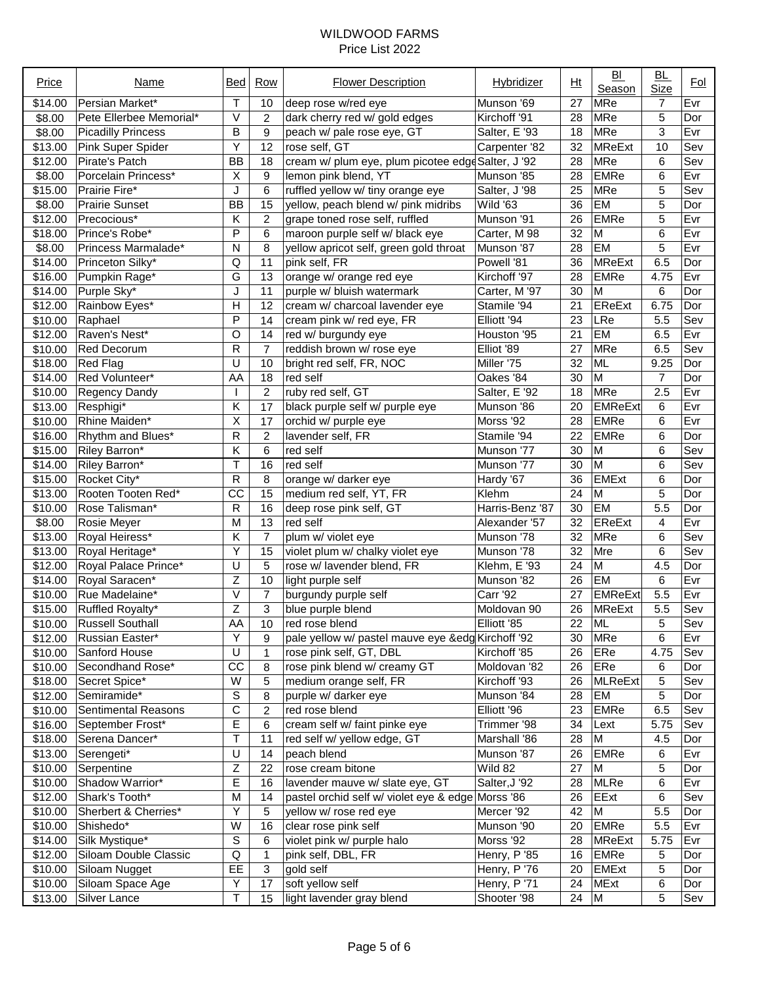| Price   | Name                     | Bed                     | Row            | <b>Flower Description</b>                          | Hybridizer      | Ht              | B <sub>1</sub><br>Season | BL<br><b>Size</b> | <u>Fol</u> |
|---------|--------------------------|-------------------------|----------------|----------------------------------------------------|-----------------|-----------------|--------------------------|-------------------|------------|
| \$14.00 | Persian Market*          | Т                       | 10             | deep rose w/red eye                                | Munson '69      | 27              | <b>MRe</b>               | 7                 | Evr        |
| \$8.00  | Pete Ellerbee Memorial*  | V                       | 2              | dark cherry red w/ gold edges                      | Kirchoff '91    | 28              | <b>MRe</b>               | 5                 | Dor        |
| \$8.00  | Picadilly Princess       | B                       | 9              | peach w/ pale rose eye, GT                         | Salter, E '93   | 18              | MRe                      | 3                 | Evr        |
| \$13.00 | Pink Super Spider        | Υ                       | 12             | rose self, GT                                      | Carpenter '82   | 32              | <b>MReExt</b>            | 10                | Sev        |
| \$12.00 | Pirate's Patch           | <b>BB</b>               | 18             | cream w/ plum eye, plum picotee edge Salter, J '92 |                 | 28              | <b>MRe</b>               | 6                 | Sev        |
| \$8.00  | Porcelain Princess*      | $\overline{\mathsf{x}}$ | 9              | lemon pink blend, YT                               | Munson '85      | 28              | EMRe                     | 6                 | Evr        |
| \$15.00 | Prairie Fire*            | J                       | 6              | ruffled yellow w/ tiny orange eye                  | Salter, J'98    | 25              | <b>MRe</b>               | 5                 | Sev        |
| \$8.00  | Prairie Sunset           | <b>BB</b>               | 15             | yellow, peach blend w/ pink midribs                | Wild '63        | 36              | EM                       | 5                 | Dor        |
| \$12.00 | Precocious*              | Κ                       | $\overline{c}$ | grape toned rose self, ruffled                     | Munson '91      | 26              | <b>EMRe</b>              | 5                 | Evr        |
| \$18.00 | Prince's Robe*           | P                       | 6              | maroon purple self w/ black eye                    | Carter, M 98    | 32              | M                        | 6                 | Evr        |
| \$8.00  | Princess Marmalade*      | N                       | 8              | yellow apricot self, green gold throat             | Munson '87      | 28              | EM                       | 5                 | Evr        |
| \$14.00 | Princeton Silky*         | Q                       | 11             | pink self, FR                                      | Powell '81      | 36              | <b>MReExt</b>            | 6.5               | Dor        |
| \$16.00 | Pumpkin Rage*            | G                       | 13             | orange w/ orange red eye                           | Kirchoff '97    | 28              | EMRe                     | 4.75              | Evr        |
| \$14.00 | Purple Sky*              | J                       | 11             | purple w/ bluish watermark                         | Carter, M '97   | 30              | M                        | 6                 | Dor        |
| \$12.00 | Rainbow Eyes*            | Η                       | 12             | cream w/ charcoal lavender eye                     | Stamile '94     | 21              | <b>EReExt</b>            | 6.75              | Dor        |
| \$10.00 | Raphael                  | P                       | 14             | cream pink w/ red eye, FR                          | Elliott '94     | 23              | LRe                      | 5.5               | Sev        |
| \$12.00 | Raven's Nest*            | O                       | 14             | red w/ burgundy eye                                | Houston '95     | 21              | EM                       | 6.5               | Evr        |
| \$10.00 | <b>Red Decorum</b>       | R                       | $\overline{7}$ | reddish brown w/ rose eye                          | Elliot '89      | 27              | <b>MRe</b>               | 6.5               | Sev        |
| \$18.00 | Red Flag                 | U                       | 10             | bright red self, FR, NOC                           | Miller '75      | 32              | <b>ML</b>                | 9.25              | Dor        |
| \$14.00 | Red Volunteer*           | AA                      | 18             | red self                                           | Oakes '84       | 30              | M                        | $\overline{7}$    | Dor        |
| \$10.00 | <b>Regency Dandy</b>     |                         | $\overline{c}$ | ruby red self, GT                                  | Salter, E '92   | 18              | MRe                      | 2.5               | Evr        |
| \$13.00 | Resphigi*                | Κ                       | 17             | black purple self w/ purple eye                    | Munson '86      | 20              | <b>EMReExt</b>           | 6                 | Evr        |
| \$10.00 | Rhine Maiden*            | $\overline{X}$          | 17             | orchid w/ purple eye                               | Morss '92       | 28              | EMRe                     | 6                 | Evr        |
| \$16.00 | Rhythm and Blues*        | R                       | $\overline{c}$ | lavender self, FR                                  | Stamile '94     | 22              | EMRe                     | 6                 | Dor        |
| \$15.00 | Riley Barron*            | Κ                       | 6              | red self                                           | Munson '77      | 30              | M                        | 6                 | Sev        |
| \$14.00 | Riley Barron*            | T                       | 16             | red self                                           | Munson '77      | 30              | M                        | 6                 | Sev        |
|         |                          | ${\sf R}$               |                |                                                    |                 |                 | <b>EMExt</b>             |                   |            |
| \$15.00 | Rocket City*             |                         | 8              | orange w/ darker eye                               | Hardy '67       | 36              |                          | 6                 | Dor        |
| \$13.00 | Rooten Tooten Red*       | CC                      | 15             | medium red self, YT, FR                            | Klehm           | 24              | M                        | 5                 | Dor        |
| \$10.00 | Rose Talisman*           | R                       | 16             | deep rose pink self, GT                            | Harris-Benz '87 | 30              | EM                       | 5.5               | Dor        |
| \$8.00  | Rosie Meyer              | M                       | 13             | red self                                           | Alexander '57   | 32              | <b>EReExt</b>            | 4                 | Evr        |
| \$13.00 | Royal Heiress*           | Κ                       | 7              | plum w/ violet eye                                 | Munson '78      | 32              | <b>MRe</b>               | 6                 | Sev        |
| \$13.00 | Royal Heritage*          | $\overline{Y}$          | 15             | violet plum w/ chalky violet eye                   | Munson '78      | 32              | Mre                      | 6                 | Sev        |
| \$12.00 | Royal Palace Prince*     | U                       | 5              | rose w/ lavender blend, FR                         | Klehm, E '93    | 24              | M                        | 4.5               | Dor        |
| \$14.00 | Royal Saracen*           | $\overline{z}$          | 10             | light purple self                                  | Munson '82      | 26              | <b>EM</b>                | 6                 | Evr        |
| \$10.00 | Rue Madelaine*           | $\overline{\mathsf{V}}$ | $\overline{7}$ | burgundy purple self                               | <b>Carr '92</b> | 27              | <b>EMReExt</b>           | 5.5               | Evr        |
| \$15.00 | Ruffled Royalty*         | $\overline{z}$          | 3              | blue purple blend                                  | Moldovan 90     | 26              | <b>MReExt</b>            | $\overline{5.5}$  | Sev        |
|         | \$10.00 Russell Southall | AA                      | 10             | red rose blend                                     | Elliott '85     | $\overline{22}$ | <b>ML</b>                | 5                 | Sev        |
| \$12.00 | Russian Easter*          | Υ                       | 9              | pale yellow w/ pastel mauve eye &edg Kirchoff '92  |                 | 30              | MRe                      | 6                 | Evr        |
| \$10.00 | Sanford House            | U                       | $\mathbf{1}$   | rose pink self, GT, DBL                            | Kirchoff '85    | 26              | ERe                      | 4.75              | Sev        |
| \$10.00 | Secondhand Rose*         | $\overline{cc}$         | 8              | rose pink blend w/ creamy GT                       | Moldovan '82    | 26              | ERe                      | 6                 | Dor        |
| \$18.00 | Secret Spice*            | W                       | 5              | medium orange self, FR                             | Kirchoff '93    | 26              | <b>MLReExt</b>           | 5                 | Sev        |
| \$12.00 | Semiramide*              | $\mathbb S$             | 8              | purple w/ darker eye                               | Munson '84      | 28              | EM                       | 5                 | Dor        |
| \$10.00 | Sentimental Reasons      | C                       | $\overline{c}$ | red rose blend                                     | Elliott '96     | 23              | EMRe                     | 6.5               | Sev        |
| \$16.00 | September Frost*         | E                       | 6              | cream self w/ faint pinke eye                      | Trimmer '98     | 34              | Lext                     | 5.75              | Sev        |
| \$18.00 | Serena Dancer*           | Τ                       | 11             | red self w/ yellow edge, GT                        | Marshall '86    | 28              | M                        | 4.5               | Dor        |
| \$13.00 | Serengeti*               | U                       | 14             | peach blend                                        | Munson '87      | 26              | <b>EMRe</b>              | 6                 | Evr        |
| \$10.00 | Serpentine               | Ζ                       | 22             | rose cream bitone                                  | Wild 82         | 27              | M                        | 5                 | Dor        |
| \$10.00 | Shadow Warrior*          | E                       | 16             | lavender mauve w/ slate eye, GT                    | Salter, J'92    | 28              | <b>MLRe</b>              | 6                 | Evr        |
| \$12.00 | Shark's Tooth*           | M                       | 14             | pastel orchid self w/ violet eye & edge            | Morss '86       | 26              | EExt                     | 6                 | Sev        |
| \$10.00 | Sherbert & Cherries*     | Υ                       | 5              | yellow w/ rose red eye                             | Mercer '92      | 42              | M                        | 5.5               | Dor        |
| \$10.00 | Shishedo*                | W                       | 16             | clear rose pink self                               | Munson '90      | 20              | <b>EMRe</b>              | 5.5               | Evr        |
| \$14.00 | Silk Mystique*           | $\overline{\mathbf{s}}$ | 6              | violet pink w/ purple halo                         | Morss '92       | 28              | <b>MReExt</b>            | 5.75              | Evr        |
| \$12.00 | Siloam Double Classic    | Q                       | 1              | pink self, DBL, FR                                 | Henry, P '85    | 16              | <b>EMRe</b>              | 5                 | Dor        |
| \$10.00 | Siloam Nugget            | E                       | 3              | gold self                                          | Henry, P '76    | 20              | <b>EMExt</b>             | 5                 | Dor        |
| \$10.00 | Siloam Space Age         | Υ                       | 17             | soft yellow self                                   | Henry, P '71    | 24              | <b>MExt</b>              | 6                 | Dor        |
| \$13.00 | Silver Lance             | T                       | 15             | light lavender gray blend                          | Shooter '98     | 24              | M                        | 5                 | Sev        |
|         |                          |                         |                |                                                    |                 |                 |                          |                   |            |